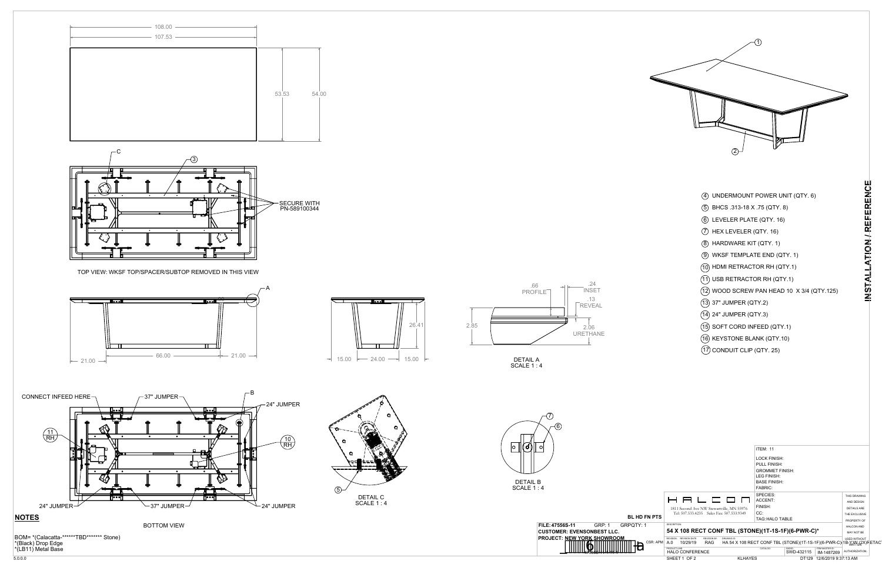







BOTTOM VIEW

TOP VIEW: WKSF TOP/SPACER/SUBTOP REMOVED IN THIS VIEW





DETAIL A SCALE 1 : 4





- UNDERMOUNT POWER UNIT (QTY. 6) 4
- BHCS .313-18 X .75 (QTY. 8) 5
- LEVELER PLATE (QTY. 16) 6
- $\left( \overline{C}\right)$  HEX LEVELER (QTY. 16)
- HARDWARE KIT (QTY. 1) 8
- WKSF TEMPLATE END (QTY. 1) 9
- (10) HDMI RETRACTOR RH (QTY.1)
- USB RETRACTOR RH (QTY.1) 11
- WOOD SCREW PAN HEAD 10 X 3/4 (QTY.125) 12

- 37" JUMPER (QTY.2) 13
- 24" JUMPER (QTY.3) 14
- (15) SOFT CORD INFEED (QTY.1)
- 16) KEYSTONE BLANK (QTY.10)
- CONDUIT CLIP (QTY. 25) 17



|            |                                                    |                                                                         | <b>ITEM: 11</b>        |                      |                               |                     |
|------------|----------------------------------------------------|-------------------------------------------------------------------------|------------------------|----------------------|-------------------------------|---------------------|
|            |                                                    |                                                                         | <b>LOCK FINISH:</b>    |                      |                               |                     |
|            |                                                    |                                                                         | <b>PULL FINISH:</b>    |                      |                               |                     |
|            |                                                    |                                                                         | <b>GROMMET FINISH:</b> |                      |                               |                     |
|            |                                                    |                                                                         | <b>LEG FINISH:</b>     |                      |                               |                     |
|            |                                                    |                                                                         | <b>BASE FINISH:</b>    |                      |                               |                     |
|            |                                                    |                                                                         | <b>FABRIC:</b>         |                      |                               |                     |
|            |                                                    |                                                                         | SPECIES:               |                      |                               | THIS DRAWING        |
|            | 8 8 6 6 9 0                                        |                                                                         | ACCENT:                |                      |                               | AND DESIGN          |
|            | 1811 Second Ave NW Stewartville, MN 55976          |                                                                         | FINISH:                |                      |                               | <b>DETAILS ARE</b>  |
|            | Tel: 507.533.4235 Sales Fax: 507.533.9349          |                                                                         | CC:                    |                      |                               | THE EXCLUSIVE       |
| <b>PTS</b> |                                                    |                                                                         | <b>TAG: HALO TABLE</b> |                      |                               | PROPERTY OF         |
|            | DESCRIPTION:                                       |                                                                         |                        |                      |                               | <b>HALCON AND</b>   |
|            | 54 X 108 RECT CONF TBL (STONE)(1T-1S-1F)(6-PWR-C)* |                                                                         |                        |                      |                               | MAY NOT BE          |
|            | REVISION: REVISION DATE:<br><b>REVISION BY:</b>    | DRAWING ID:                                                             |                        |                      |                               | <b>USED WITHOUT</b> |
| R: APM     | <b>RAG</b><br>A.0<br>10/29/19                      | HA 54 X 108 RECT CONF TBL (STONE)(1T-1S-1F)(6-PWR-C)(1B-V))WE(2X)RETACT |                        |                      |                               |                     |
|            | PRODUCT LINE:<br><b>HALO CONFERENCE</b>            |                                                                         | CATALOG:               | SWDID:<br>SWD-432115 | ITEM MASTER ID:<br>IM-1487269 | AUTHORIZATION.      |
|            | SHEET 1 OF 2                                       | <b>KLHAYES</b>                                                          |                        |                      | DT129 12/6/2019 9:37:13 AM    |                     |

**INSTALLATION / REFERENCE**

INSTALLATION/REFERENCE



BOM= \*(Calacatta-\*\*\*\*\*\*TBD\*\*\*\*\*\*\* Stone) \*(Black) Drop Edge \*(LB11) Metal Base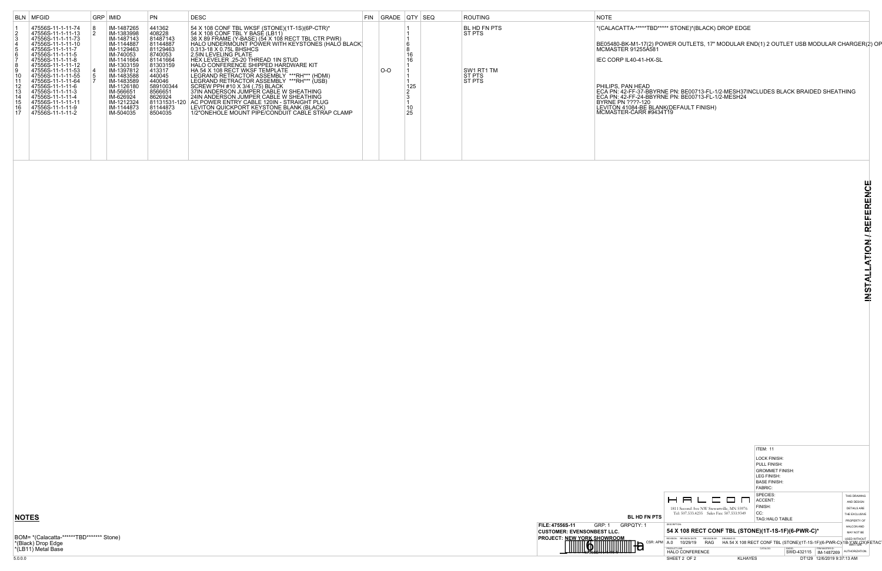

#### TBD\*\*\*\*\* STONE)\*(BLACK) DROP EDGE

BE05480-BK-M1-17(2) POWER OUTLETS, 17" MODULAR END(1) 2 OUTLET USB MODULAR CHARGER(2) OP<br>MCMASTER 91255A581

HX-SL

## **NOTES**

BOM= \*(Calacatta-\*\*\*\*\*\*TBD\*\*\*\*\*\*\* Stone) \*(Black) Drop Edge \*(LB11) Metal Base

|                                                                                                                                       | BLN MFGID                                                                                                                                                                                                                                                                                                                                                 | GRP   IMID                                                                                                                                                                                                                             | <b>PN</b>                                                                                                                                                                       | <b>DESC</b>                                                                                                                                                                                                                                                                                                                                                                                                                                                                                                                                                                                                                                                                                                                                    | FIN   GRADE   QTY   SEQ |                       | <b>ROUTING</b>                                           | <b>NOTE</b>                                                                                                                                                                                                        |
|---------------------------------------------------------------------------------------------------------------------------------------|-----------------------------------------------------------------------------------------------------------------------------------------------------------------------------------------------------------------------------------------------------------------------------------------------------------------------------------------------------------|----------------------------------------------------------------------------------------------------------------------------------------------------------------------------------------------------------------------------------------|---------------------------------------------------------------------------------------------------------------------------------------------------------------------------------|------------------------------------------------------------------------------------------------------------------------------------------------------------------------------------------------------------------------------------------------------------------------------------------------------------------------------------------------------------------------------------------------------------------------------------------------------------------------------------------------------------------------------------------------------------------------------------------------------------------------------------------------------------------------------------------------------------------------------------------------|-------------------------|-----------------------|----------------------------------------------------------|--------------------------------------------------------------------------------------------------------------------------------------------------------------------------------------------------------------------|
| $\frac{2}{3}$<br>$\frac{5}{6}$<br>$\begin{bmatrix} 7 \\ 8 \\ 9 \end{bmatrix}$<br>$\vert$ 11<br> 12<br> 13<br> 14<br> 15<br>  16<br>17 | 47556S-11-1-11-74<br>47556S-11-1-11-13<br>47556S-11-1-11-73<br>47556S-11-1-11-10<br>47556S-11-1-11-7<br>47556S-11-1-11-5<br>47556S-11-1-11-8<br>47556S-11-1-11-12<br>47556S-11-1-11-53<br>47556S-11-1-11-55<br>47556S-11-1-11-64<br>47556S-11-1-11-6<br>47556S-11-1-11-3<br>47556S-11-1-11-4<br>47556S-11-1-11-11<br>47556S-11-1-11-9<br>47556S-11-1-11-2 | IM-1487265<br>IM-1383998<br>IM-1487143<br>IM-1144887<br>IM-1129463<br>IM-740053<br>IM-1141664<br>IM-1303159<br>IM-1397812<br>IM-1483588<br>IM-1483589<br>IM-1126180<br>IM-566651<br>IM-626924<br>IM-1212324<br>IM-1144873<br>IM-504035 | 441362<br>408228<br>81487143<br>81144887<br>81129463<br>8740053<br>81141664<br>81303159<br>413317<br>440045<br>440046<br>589100344<br>8566651<br>8626924<br>81144873<br>8504035 | 54 X 108 CONF TBL WKSF (STONE)(1T-1S)(6P-CTR)*<br>54 X 108 CONF TBL Y BASE (LB11)<br>38 X 89 FRAME (Y-BASE) (54 X 108 RECT TBL CTR PWR)<br>HALO UNDERMOUNT PÓWER WITH KEYSTONES (HALÓ BLACK)<br>0.313-18 X 0.75L BHSHCS<br>2.5IN LEVELING PLATE<br>HEX LEVELER .25-20 THREAD 1IN STUD<br>HALO CONFERENCE SHIPPED HARDWARE KIT<br>HA 54 X 108 RECT WKSF TEMPLATE<br>LEGRAND RETRACTOR ASSEMBLY ***RH*** (HDMI)<br>LEGRAND RETRACTOR ASSEMBLY ***RH*** (USB)<br>SCREW PPH #10 X 3/4 (.75) BLACK<br>37IN ANDERSON JUMPER CABLE W SHEATHING<br>24IN ANDERSON JUMPER CABLE W SHEATHING<br>81131531-120   AC POWER ENTRY CABLE 120IN - STRAIGHT PLUG<br>LEVITON QUICKPORT KEYSTONE BLANK (BLACK)<br>1/2"ONEHOLE MOUNT PIPE/CONDUIT CABLE STRAP CLAMP | $O-O$                   | 16<br>125<br>10<br>25 | BL HD FN PTS<br>ST PTS<br>SW1 RT1 TM<br>ST PTS<br>ST PTS | *(CALACATTA-*****T<br>BE05480-BK-M1-17(2<br>MCMASTER 91255A<br>IEC CORP IL40-41-H<br>PHILIPS, PAN HEAD<br>ECA PN: 42-FF-37-BI<br>ECA PN: 42-FF-24-BI<br>BYRNE PN ????-120<br>LEVITON 41084-BE R<br>MCMASTER-CARR # |

ECA PN: 42-FF-37-BBYRNE PN: BE00713-FL-1/2-MESH37INCLUDES BLACK BRAIDED SHEATHING ECA PN: 42-FF-24-BBYRNE PN: BE00713-FL-1/2-MESH24 LEVITON 41084-BE BLANK(DEFAULT FINISH) MCMASTER-CARR #9434T19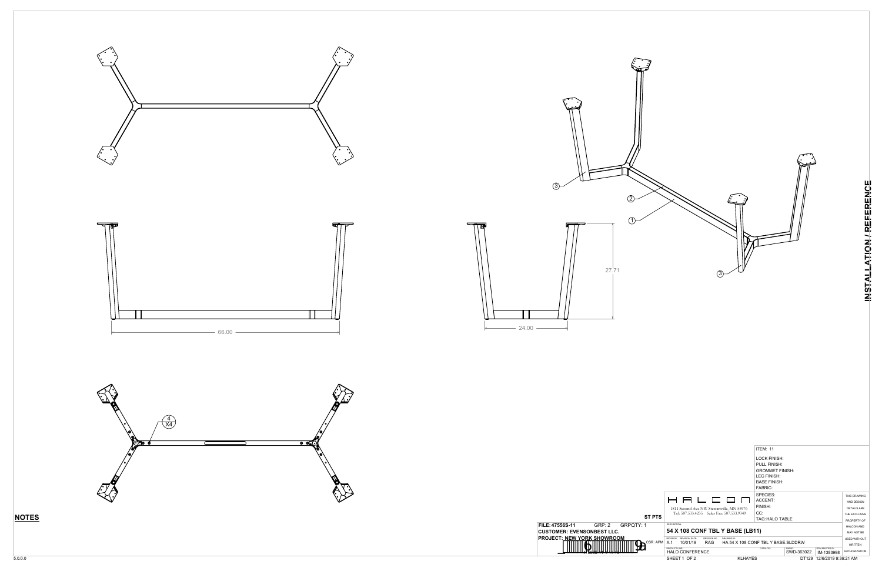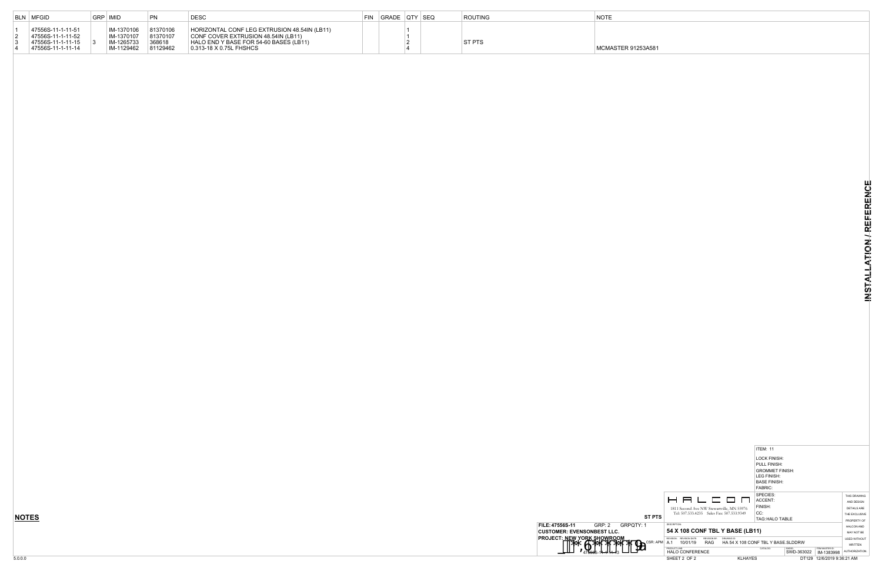|          |                                                                         |                                    | <b>ITEM: 11</b>                       |                      |                               |                     |
|----------|-------------------------------------------------------------------------|------------------------------------|---------------------------------------|----------------------|-------------------------------|---------------------|
|          |                                                                         |                                    | LOCK FINISH:<br><b>PULL FINISH:</b>   |                      |                               |                     |
|          |                                                                         |                                    | <b>GROMMET FINISH:</b><br>LEG FINISH: |                      |                               |                     |
|          |                                                                         |                                    | <b>BASE FINISH:</b>                   |                      |                               |                     |
|          |                                                                         |                                    | <b>FABRIC:</b>                        |                      |                               |                     |
|          |                                                                         |                                    | SPECIES:                              |                      |                               | THIS DRAWING        |
|          | 8 8 6 6 9 0                                                             |                                    | ACCENT:                               |                      |                               | AND DESIGN          |
|          | 1811 Second Ave NW Stewartville, MN 55976                               |                                    | FINISH:                               |                      |                               | <b>DETAILS ARE</b>  |
|          | Tel: 507.533.4235 Sales Fax: 507.533.9349                               |                                    | CC:                                   |                      |                               | THE EXCLUSIVE       |
| ST PTS   |                                                                         |                                    | TAG: HALO TABLE                       |                      |                               | PROPERTY OF         |
| 1        | DESCRIPTION:                                                            |                                    |                                       |                      |                               | <b>HALCON AND</b>   |
|          | 54 X 108 CONF TBL Y BASE (LB11)                                         |                                    |                                       |                      |                               | MAY NOT BE          |
| CSR: APM | REVISION DATE:<br><b>REVISION BY:</b><br>REVISION:<br>A.1<br><b>RAG</b> | DRAWING ID:                        |                                       |                      |                               | <b>USED WITHOUT</b> |
|          | 10/01/19                                                                | HA 54 X 108 CONF TBL Y BASE.SLDDRW |                                       |                      |                               | <b>WRITTEN</b>      |
|          | PRODUCT UNF:<br><b>HALO CONFERENCE</b>                                  |                                    | CATALOG:                              | SWDID:<br>SWD-363022 | ITEM MASTER ID:<br>IM-1383998 | AUTHORIZATION.      |
|          | SHEET 2 OF 2                                                            | <b>KLHAYES</b>                     |                                       | DT129                | 12/6/2019 9:36:21 AM          |                     |



\581

| BLN MFGID                                                                          | GRP   IMID                                           | <b>PN</b>                                  | <b>DESC</b>                                                                                                                                              | <b>FIN</b> | GRADE QTY SEQ |  | ROUTING       | <b>NOTE</b>     |
|------------------------------------------------------------------------------------|------------------------------------------------------|--------------------------------------------|----------------------------------------------------------------------------------------------------------------------------------------------------------|------------|---------------|--|---------------|-----------------|
| 47556S-11-1-11-51<br>47556S-11-1-11-52<br>47556S-11-1-11-15  <br>47556S-11-1-11-14 | IM-1370106<br>IM-1370107<br>IM-1265733<br>IM-1129462 | 81370106<br>81370107<br>368618<br>81129462 | HORIZONTAL CONF LEG EXTRUSION 48.54IN (LB11)<br>CONF COVER EXTRUSION 48.54IN (LB11)<br>HALO END Y BASE FOR 54-60 BASES (LB11)<br>0.313-18 X 0.75L FHSHCS |            |               |  | <b>ST PTS</b> | MCMASTER 91253A |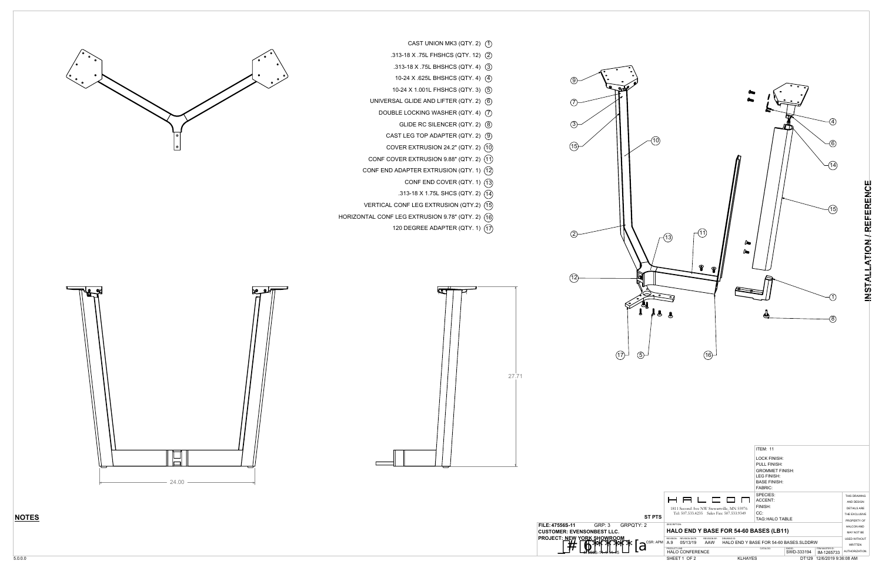



- CAST UNION MK3 (QTY. 2) 1
- .313-18 X .75L FHSHCS (QTY. 12) 2
- .313-18 X .75L BHSHCS (QTY. 4) 3
- 10-24 X .625L BHSHCS (QTY. 4) 4
- 10-24 X 1.001L FHSHCS (QTY. 3) 5
- UNIVERSAL GLIDE AND LIFTER (QTY. 2) 6
- DOUBLE LOCKING WASHER (QTY. 4) 7
	- GLIDE RC SILENCER (QTY. 2) 8
	- CAST LEG TOP ADAPTER (QTY. 2) 9
	- COVER EXTRUSION 24.2" (QTY. 2) 10
- CONF COVER EXTRUSION 9.88" (QTY. 2) 11
- CONF END ADAPTER EXTRUSION (QTY. 1) 12
	- CONF END COVER (QTY. 1) 13
	- .313-18 X 1.75L SHCS (QTY. 2) 14
- VERTICAL CONF LEG EXTRUSION (QTY.2) 15
- HORIZONTAL CONF LEG EXTRUSION 9.78" (QTY. 2) 16
	- 120 DEGREE ADAPTER (QTY. 1) 17

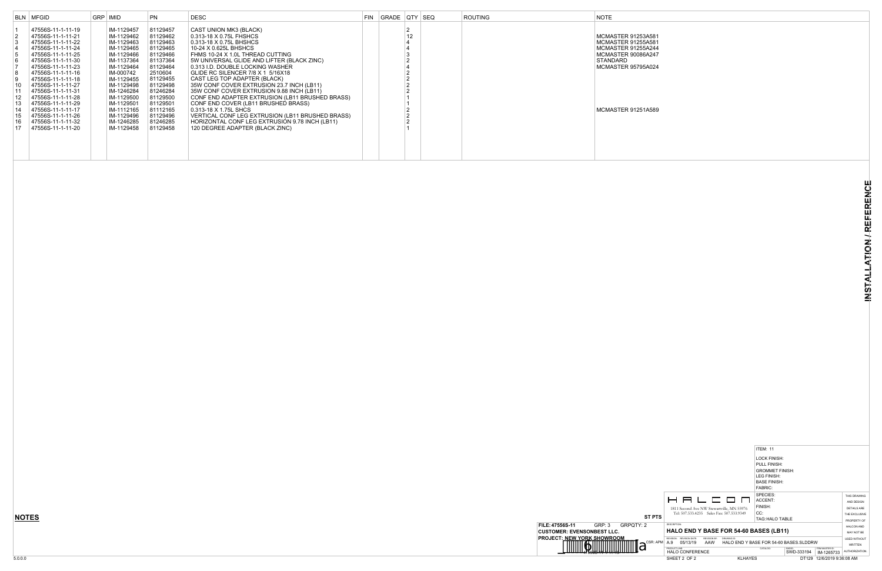|          |                                                                                                    | <b>LOCK FINISH:</b><br><b>PULL FINISH:</b><br><b>GROMMET FINISH:</b><br>LEG FINISH:<br><b>BASE FINISH:</b><br><b>FABRIC:</b> |            |                      |                                       |  |  |  |
|----------|----------------------------------------------------------------------------------------------------|------------------------------------------------------------------------------------------------------------------------------|------------|----------------------|---------------------------------------|--|--|--|
|          | 8 8 6 6 9 0                                                                                        | SPECIES:<br>ACCENT:                                                                                                          |            |                      | THIS DRAWING<br>AND DESIGN            |  |  |  |
|          |                                                                                                    | FINISH:                                                                                                                      |            |                      |                                       |  |  |  |
|          | 1811 Second Ave NW Stewartville, MN 55976<br>Tel: 507.533.4235 Sales Fax: 507.533.9349             | CC:                                                                                                                          |            |                      |                                       |  |  |  |
| ST PTS   |                                                                                                    |                                                                                                                              |            |                      | THE EXCLUSIVE                         |  |  |  |
|          |                                                                                                    | TAG: HALO TABLE                                                                                                              |            |                      | PROPERTY OF                           |  |  |  |
| 2        | DESCRIPTION:                                                                                       |                                                                                                                              |            |                      | HAI CON AND                           |  |  |  |
|          | <b>HALO END Y BASE FOR 54-60 BASES (LB11)</b>                                                      |                                                                                                                              |            |                      | MAY NOT BE                            |  |  |  |
| CSR: APM | <b>REVISION DATE:</b><br>REVISION:<br><b>REVISION BY:</b><br>DRAWING ID:<br>A.9<br>AAW<br>05/13/19 | HALO END Y BASE FOR 54-60 BASES SLDDRW                                                                                       |            |                      | <b>USED WITHOUT</b><br><b>WRITTEN</b> |  |  |  |
|          | PRODUCT UNF:                                                                                       | CATALOG:                                                                                                                     | SWDID:     | ITEM MASTER ID:      |                                       |  |  |  |
|          | <b>HALO CONFERENCE</b>                                                                             |                                                                                                                              | SWD-333194 | IM-1265733           | AUTHORIZATION.                        |  |  |  |
|          | SHEET 2 OF 2                                                                                       | <b>KLHAYES</b>                                                                                                               | DT129      | 12/6/2019 9:36:08 AM |                                       |  |  |  |

ITEM: 11





|                                                                                                                                                                | BLN MFGID                                                                                                                                                                                                                                                                                                                                                         | GRP IMID                                                                                                                                                                                                                                            | <b>PN</b>                                                                                                                                                                                               | <b>DESC</b>                                                                                                                                                                                                                                                                                                                                                                                                                                                                                                                                                                                                                                            | FIN | GRADE QTY SEQ |                           | ROUTING | <b>NOTE</b>                                                                                                                                                                     |
|----------------------------------------------------------------------------------------------------------------------------------------------------------------|-------------------------------------------------------------------------------------------------------------------------------------------------------------------------------------------------------------------------------------------------------------------------------------------------------------------------------------------------------------------|-----------------------------------------------------------------------------------------------------------------------------------------------------------------------------------------------------------------------------------------------------|---------------------------------------------------------------------------------------------------------------------------------------------------------------------------------------------------------|--------------------------------------------------------------------------------------------------------------------------------------------------------------------------------------------------------------------------------------------------------------------------------------------------------------------------------------------------------------------------------------------------------------------------------------------------------------------------------------------------------------------------------------------------------------------------------------------------------------------------------------------------------|-----|---------------|---------------------------|---------|---------------------------------------------------------------------------------------------------------------------------------------------------------------------------------|
| $\vert 3 \vert$<br>$\vert 4 \vert$<br>$\overline{5}$<br>6<br>$\begin{array}{c} 8 \\ 9 \end{array}$<br>$ 10\rangle$<br>$\vert$ 11<br>12<br>13<br>14<br>15<br>16 | 47556S-11-1-11-19<br>47556S-11-1-11-21<br>47556S-11-1-11-22<br>47556S-11-1-11-24<br>47556S-11-1-11-25<br>47556S-11-1-11-30<br>47556S-11-1-11-23<br>47556S-11-1-11-16<br>47556S-11-1-11-18<br>47556S-11-1-11-27<br>47556S-11-1-11-31<br>47556S-11-1-11-28<br>47556S-11-1-11-29<br>47556S-11-1-11-17<br>47556S-11-1-11-26<br>47556S-11-1-11-32<br>47556S-11-1-11-20 | IM-1129457<br>IM-1129462<br>IM-1129463<br>IM-1129465<br>IM-1129466<br>  IM-1137364<br>IM-1129464<br>  IM-000742<br>  IM-1129455<br>IM-1129498<br>IM-1246284<br>  IM-1129500<br>IM-1129501<br>IM-1112165<br>  IM-1129496<br>IM-1246285<br>IM-1129458 | 81129457<br>81129462<br>81129463<br>81129465<br>81129466<br>81137364<br>81129464<br>2510604<br>81129455<br>81129498<br>81246284<br>81129500<br>81129501<br>81112165<br>81129496<br>81246285<br>81129458 | CAST UNION MK3 (BLACK)<br>0.313-18 X 0.75L FHSHCS<br>0.313-18 X 0.75L BHSHCS<br>10-24 X 0.625L BHSHCS<br>FHMS 10-24 X 1.0L THREAD CUTTING<br>5W UNIVERSAL GLIDE AND LIFTER (BLACK ZINC)<br>0.313 I.D. DOUBLE LOCKING WASHER<br>GLIDE RC SILENCER 7/8 X 1 5/16X18<br>CAST LEG TOP ADAPTER (BLACK)<br>35W CONF COVER EXTRUSION 23.7 INCH (LB11)<br>35W CONF COVER EXTRUSION 9.88 INCH (LB11)<br>CONF END ADAPTER EXTRUSION (LB11 BRUSHED BRASS)<br>CONF END COVER (LB11 BRUSHED BRASS)<br>0.313-18 X 1.75L SHCS<br>VERTICAL CONF LEG EXTRUSION (LB11 BRUSHED BRASS)<br>HORIZONTAL CONF LEG EXTRUSION 9.78 INCH (LB11)<br>120 DEGREE ADAPTER (BLACK ZINC) |     |               | 2<br>12<br>$\overline{2}$ |         | <b>MCMASTER 91253A581</b><br><b>MCMASTER 91255A581</b><br><b>MCMASTER 91255A244</b><br><b>MCMASTER 90086A247</b><br>STANDARD<br>MCMASTER 95795A024<br><b>MCMASTER 91251A589</b> |
|                                                                                                                                                                |                                                                                                                                                                                                                                                                                                                                                                   |                                                                                                                                                                                                                                                     |                                                                                                                                                                                                         |                                                                                                                                                                                                                                                                                                                                                                                                                                                                                                                                                                                                                                                        |     |               |                           |         |                                                                                                                                                                                 |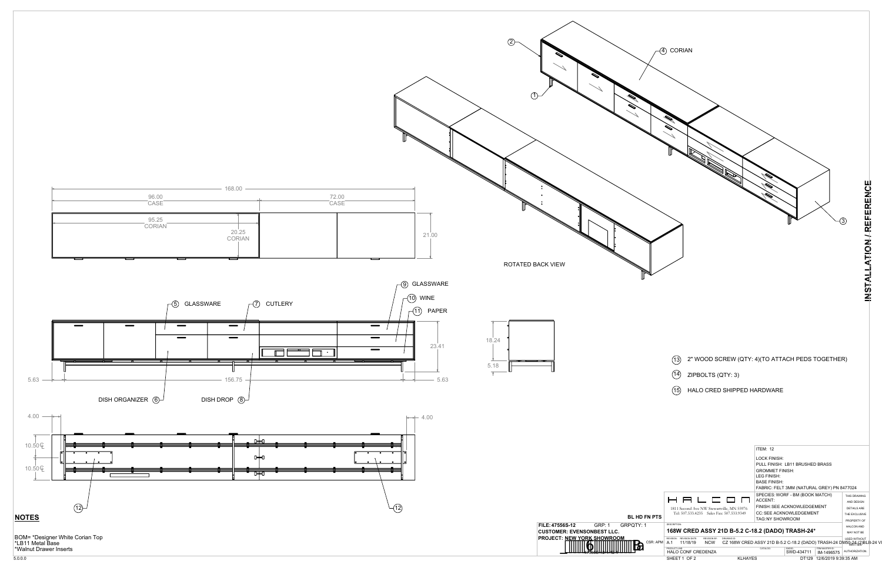

- 
-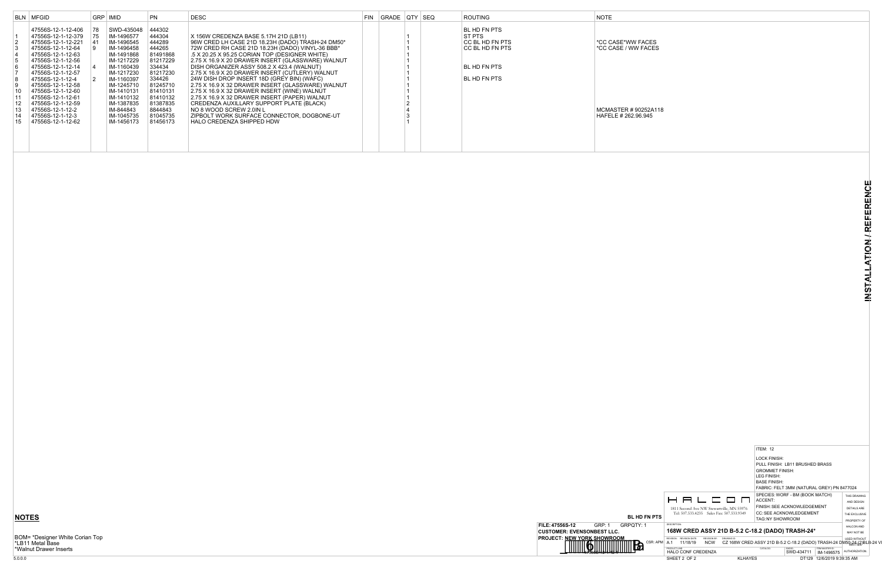|               |                                                                                                                                                                                | ITEM: 12                              |                                            |                               |                              |
|---------------|--------------------------------------------------------------------------------------------------------------------------------------------------------------------------------|---------------------------------------|--------------------------------------------|-------------------------------|------------------------------|
|               |                                                                                                                                                                                | <b>LOCK FINISH:</b>                   | PULL FINISH: LB11 BRUSHED BRASS            |                               |                              |
|               |                                                                                                                                                                                | <b>GROMMET FINISH:</b><br>LEG FINISH: |                                            |                               |                              |
|               |                                                                                                                                                                                | <b>BASE FINISH:</b>                   |                                            |                               |                              |
|               |                                                                                                                                                                                |                                       | FABRIC: FELT 3MM (NATURAL GREY) PN 8477024 |                               |                              |
|               | – ⊟<br>$\mathbf{I}$<br><b>┌─ ┌─</b>                                                                                                                                            | ACCENT:                               | SPECIES: WORF - BM (BOOK MATCH)            |                               | THIS DRAWING<br>AND DESIGN   |
|               | 1811 Second Ave NW Stewartville, MN 55976                                                                                                                                      |                                       | FINISH: SEE ACKNOWLEDGEMENT                |                               | <b>DETAILS ARE</b>           |
| <b>FN PTS</b> | Tel: 507.533.4235 Sales Fax: 507.533.9349                                                                                                                                      | TAG: NY SHOWROOM                      | <b>CC: SEE ACKNOWLEDGEMENT</b>             |                               | THE EXCLUSIVE<br>PROPERTY OF |
|               | <b>DESCRIPTION:</b>                                                                                                                                                            |                                       |                                            |                               | <b>HALCON AND</b>            |
|               | 168W CRED ASSY 21D B-5.2 C-18.2 (DADO) TRASH-24*                                                                                                                               |                                       |                                            |                               | MAY NOT BE                   |
| CSR: APM      | <b>REVISION DATE:</b><br>REVISION BY:<br>REVISION:<br>DRAWING ID:<br>A.1<br><b>NCW</b><br>CZ 168W CRED ASSY 21D B-5.2 C-18.2 (DADO) TRASH-24 DM50 24 L(2)BLB-24 VI<br>11/18/19 |                                       |                                            |                               | <b>USED WITHOUT</b>          |
|               | PRODUCT LINE:<br><b>HALO CONF CREDENZA</b>                                                                                                                                     | CATALOG:                              | SWDID:<br>SWD-434711                       | ITEM MASTER ID:<br>IM-1496575 | AUTHORIZATION.               |
|               | SHEET 2 OF 2<br><b>KLHAYES</b>                                                                                                                                                 |                                       | DT129                                      | 12/6/2019 9:39:35 AM          |                              |
|               |                                                                                                                                                                                |                                       |                                            |                               |                              |

BOM= \*Designer White Corian Top \*LB11 Metal Base \*Walnut Drawer Inserts



|                                              | BLN MFGID                                                                                                                                                                     | GRP IMID                                                                                                        | <b>PN</b>                                                                                 | DESC                                                                                                                                                                                                                                                                                                                                                      | FIN GRADE QTY SEQ |  | <b>ROUTING</b>                                                               | <b>NOTE</b>                                |
|----------------------------------------------|-------------------------------------------------------------------------------------------------------------------------------------------------------------------------------|-----------------------------------------------------------------------------------------------------------------|-------------------------------------------------------------------------------------------|-----------------------------------------------------------------------------------------------------------------------------------------------------------------------------------------------------------------------------------------------------------------------------------------------------------------------------------------------------------|-------------------|--|------------------------------------------------------------------------------|--------------------------------------------|
| $\vert$ 2<br>$\vert$ 3<br><b>6</b>           | 47556S-12-1-12-406 78<br>47556S-12-1-12-379 75<br>47556S-12-1-12-221<br>47556S-12-1-12-64<br>47556S-12-1-12-63<br>47556S-12-1-12-56<br>47556S-12-1-12-14<br>47556S-12-1-12-57 | SWD-435048<br>IM-1496577<br>  IM-1496545<br>IM-1496458<br>IM-1491868<br>IM-1217229<br>IM-1160439<br>IM-1217230  | 444302<br>444304<br>444289<br>444265<br>81491868<br>81217229<br>334434<br>81217230        | X 156W CREDENZA BASE 5.17H 21D (LB11)<br>96W CRED LH CASE 21D 18.23H (DADO) TRASH-24 DM50*<br>72W CRED RH CASE 21D 18.23H (DADO) VINYL-36 BBB*<br>5 X 20.25 X 95.25 CORIAN TOP (DESIGNER WHITE)<br>2.75 X 16.9 X 20 DRAWER INSERT (GLASSWARE) WALNUT<br>DISH ORGANIZER ASSY 508.2 X 423.4 (WALNUT)<br>2.75 X 16.9 X 20 DRAWER INSERT (CUTLERY) WALNUT     |                   |  | BL HD FN PTS<br>ST PTS<br>CC BL HD FN PTS<br>CC BL HD FN PTS<br>BL HD FN PTS | *CC CASE*WW FACES<br>*CC CASE / WW FACES   |
| 8<br>9<br>∣ 10<br>11<br>12<br>13<br>14<br>15 | 47556S-12-1-12-4<br>47556S-12-1-12-58<br>47556S-12-1-12-60<br>47556S-12-1-12-61<br>47556S-12-1-12-59<br>47556S-12-1-12-2<br>47556S-12-1-12-3<br>47556S-12-1-12-62             | IM-1160397<br>IM-1245710<br>IM-1410131<br>IM-1410132<br>IM-1387835<br>  IM-844843<br>IM-1045735<br>l IM-1456173 | 334426<br>81245710<br>81410131<br>81410132<br>81387835<br>8844843<br>81045735<br>81456173 | 24W DISH DROP INSERT 18D (GREY BIN) (WAFC)<br>2.75 X 16.9 X 32 DRAWER INSERT (GLASSWARE) WALNUT<br>2.75 X 16.9 X 32 DRAWER INSERT (WINE) WALNUT<br>2.75 X 16.9 X 32 DRAWER INSERT (PAPER) WALNUT<br>CREDENZA AUXILLARY SUPPORT PLATE (BLACK)<br>NO 8 WOOD SCREW 2.0IN L<br><b>ZIPBOLT WORK SURFACE CONNECTOR, DOGBONE-UT</b><br>HALO CREDENZA SHIPPED HDW |                   |  | BL HD FN PTS                                                                 | MCMASTER #90252A118<br>HAFELE # 262.96.945 |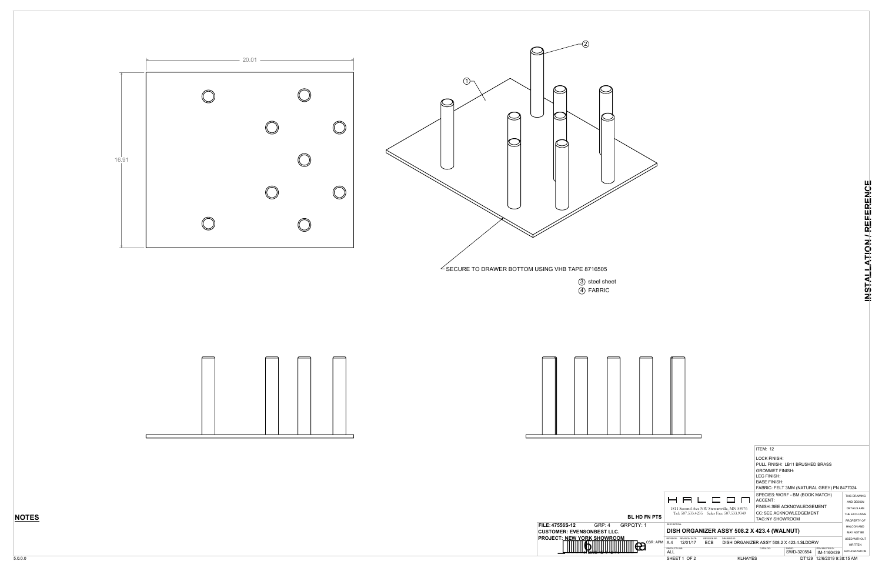



3) steel sheet 4) FABRIC





|          |                                                    |                       |              |                                                                                                       | <b>ITEM: 12</b><br><b>LOCK FINISH:</b><br><b>GROMMET FINISH:</b> | PULL FINISH: LB11 BRUSHED BRASS                                               |                                                             |                                                           |
|----------|----------------------------------------------------|-----------------------|--------------|-------------------------------------------------------------------------------------------------------|------------------------------------------------------------------|-------------------------------------------------------------------------------|-------------------------------------------------------------|-----------------------------------------------------------|
|          |                                                    |                       |              |                                                                                                       | <b>LEG FINISH:</b><br><b>BASE FINISH:</b>                        | FABRIC: FELT 3MM (NATURAL GREY) PN 8477024<br>SPECIES: WORF - BM (BOOK MATCH) |                                                             | THIS DRAWING                                              |
| FN PTS   |                                                    |                       |              | 8 8 6 6 6 7<br>1811 Second Ave NW Stewartville, MN 55976<br>Tel: 507.533.4235 Sales Fax: 507.533.9349 | ACCENT:<br>TAG: NY SHOWROOM                                      | FINISH: SEE ACKNOWLEDGEMENT<br><b>CC: SEE ACKNOWLEDGEMENT</b>                 |                                                             | AND DESIGN<br>DETAILS ARE<br>THE EXCLUSIVE<br>PROPERTY OF |
| 1        | <b>DESCRIPTION:</b><br>REVISION:                   | <b>REVISION DATE:</b> | REVISION RY: | <b>DRAWING ID:</b>                                                                                    | DISH ORGANIZER ASSY 508.2 X 423.4 (WALNUT)                       |                                                                               |                                                             | HAI CON AND<br>MAY NOT BE<br><b>USED WITHOUT</b>          |
| CSR: APM | A.4<br>PRODUCT LINE:<br><b>ALL</b><br>SHEET 1 OF 2 | 12/01/17              | ECB.         | <b>KLHAYES</b>                                                                                        | DISH ORGANIZER ASSY 508.2 X 423.4 SLDDRW<br>CATALOG:             | SWDID:<br>SWD-320554                                                          | ITEM MASTER ID:<br>IM-1160439<br>DT129 12/6/2019 9:38:15 AM | <b>WRITTEN</b><br><b>AUTHORIZATION</b>                    |
|          |                                                    |                       |              |                                                                                                       |                                                                  |                                                                               |                                                             |                                                           |

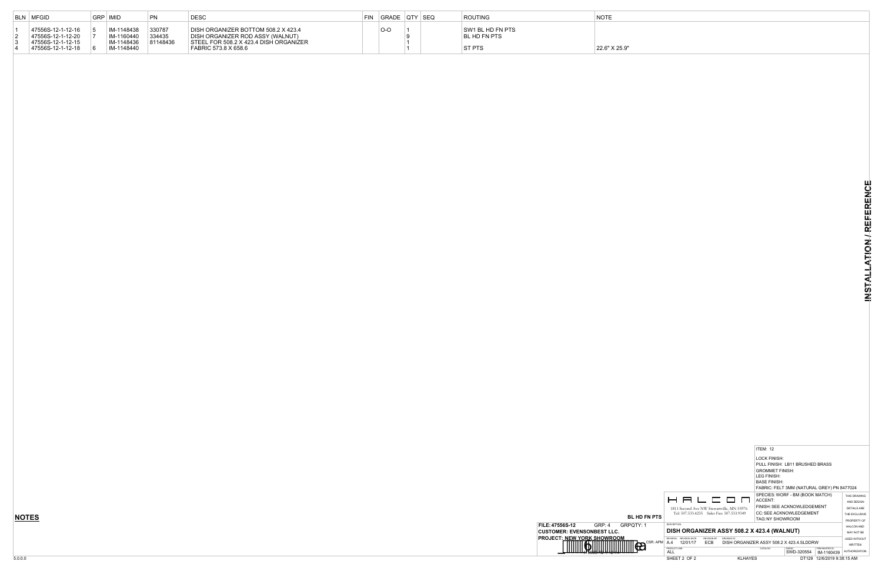|                     |                                                    |                                          | <b>ITEM: 12</b>        |                                            |                               |                     |
|---------------------|----------------------------------------------------|------------------------------------------|------------------------|--------------------------------------------|-------------------------------|---------------------|
|                     |                                                    |                                          | <b>LOCK FINISH:</b>    |                                            |                               |                     |
|                     |                                                    |                                          |                        | PULL FINISH: LB11 BRUSHED BRASS            |                               |                     |
|                     |                                                    |                                          | <b>GROMMET FINISH:</b> |                                            |                               |                     |
|                     |                                                    |                                          | LEG FINISH:            |                                            |                               |                     |
|                     |                                                    |                                          | <b>BASE FINISH:</b>    |                                            |                               |                     |
|                     |                                                    |                                          |                        | FABRIC: FELT 3MM (NATURAL GREY) PN 8477024 |                               |                     |
|                     |                                                    |                                          |                        | SPECIES: WORF - BM (BOOK MATCH)            |                               | THIS DRAWING        |
|                     | 8 8 6 6 9 0                                        |                                          | ACCENT:                |                                            |                               | AND DESIGN          |
|                     | 1811 Second Ave NW Stewartville, MN 55976          |                                          |                        | FINISH: SEE ACKNOWLEDGEMENT                |                               | <b>DETAILS ARE</b>  |
|                     | Tel: 507.533.4235 Sales Fax: 507.533.9349          |                                          |                        | <b>CC: SEE ACKNOWLEDGEMENT</b>             |                               | THE EXCLUSIVE       |
| <b>BL HD FN PTS</b> |                                                    |                                          | <b>TAG:NY SHOWROOM</b> |                                            |                               | PROPERTY OF         |
| PQTY: 1             | <b>DESCRIPTION:</b>                                |                                          |                        |                                            |                               | HAI CON AND         |
|                     | DISH ORGANIZER ASSY 508.2 X 423.4 (WALNUT)         |                                          |                        |                                            |                               | <b>MAY NOT BE</b>   |
|                     | <b>REVISION DATE:</b><br>REVISION RY:<br>REVISION: | DRAWING ID:                              |                        |                                            |                               | <b>USED WITHOUT</b> |
| CSR: APM            | ECB<br>A.4<br>12/01/17                             | DISH ORGANIZER ASSY 508.2 X 423.4.SLDDRW |                        |                                            |                               | <b>WRITTEN</b>      |
|                     | PRODUCT LINE:<br>ALL                               |                                          | CATALOG:               | SWDID:<br>SWD-320554                       | ITEM MASTER ID:<br>IM-1160439 | AUTHORIZATION.      |
|                     | SHEET 2 OF 2                                       | <b>KLHAYES</b>                           |                        | DT129                                      | 12/6/2019 9:38:15 AM          |                     |



| BLN MFGID                                                                        | GRP   IMID |                                                      | PN                           | <b>DESC</b>                                                                                                                               | FIN | GRADE QTY SEQ |  | <b>ROUTING</b>                             | <b>NOTE</b>   |
|----------------------------------------------------------------------------------|------------|------------------------------------------------------|------------------------------|-------------------------------------------------------------------------------------------------------------------------------------------|-----|---------------|--|--------------------------------------------|---------------|
| 47556S-12-1-12-16<br>47556S-12-1-12-20<br>47556S-12-1-12-15<br>47556S-12-1-12-18 |            | IM-1148438<br>IM-1160440<br>IM-1148436<br>IM-1148440 | 330787<br>334435<br>81148436 | DISH ORGANIZER BOTTOM 508.2 X 423.4<br>DISH ORGANIZER ROD ASSY (WALNUT)<br>STEEL FOR 508.2 X 423.4 DISH ORGANIZER<br>FABRIC 573.8 X 658.6 |     | $O-O$         |  | SW1 BL HD FN PTS<br>BL HD FN PTS<br>ST PTS | 22.6" X 25.9" |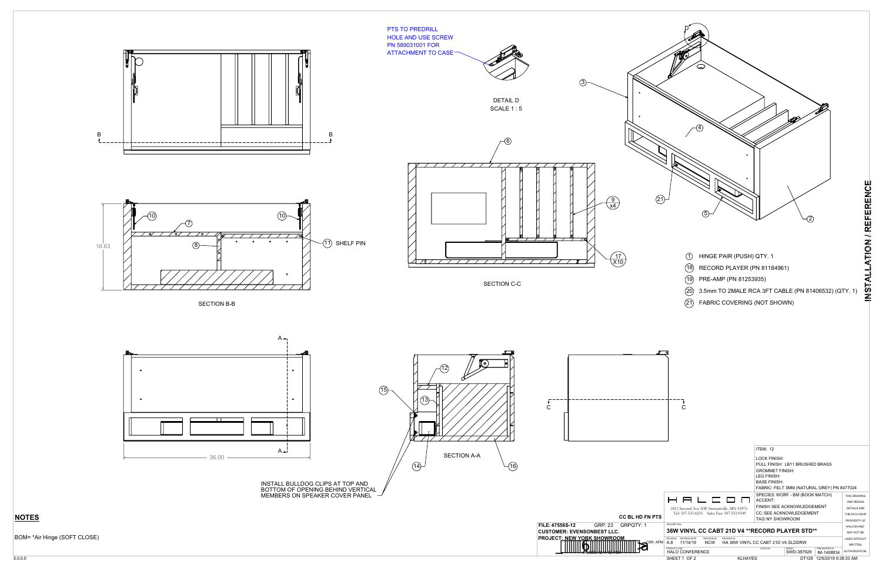

- 
- 
- 
- 
- 

#### BOM= \*Air Hinge (SOFT CLOSE)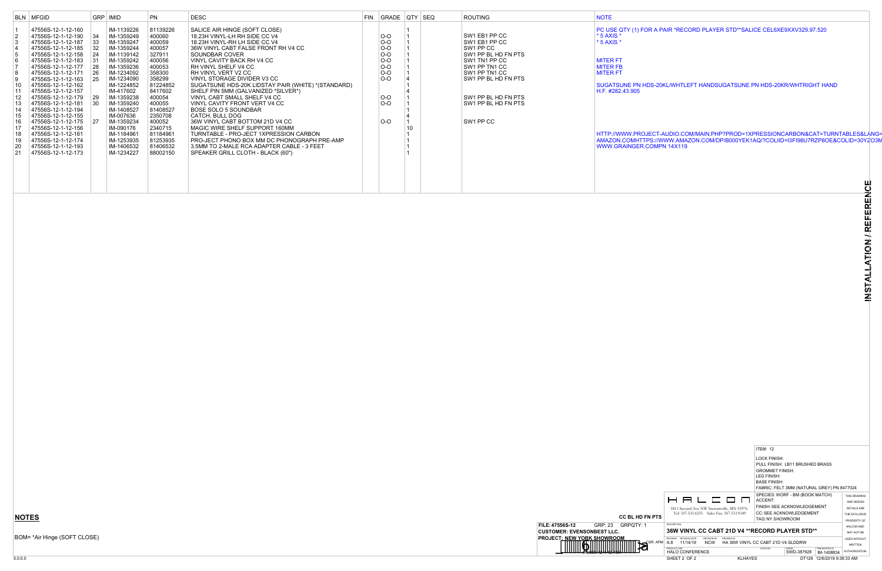|                                                                   |                                                                                 | <b>ITEM: 12</b>                       |                                            |                               |                                       |
|-------------------------------------------------------------------|---------------------------------------------------------------------------------|---------------------------------------|--------------------------------------------|-------------------------------|---------------------------------------|
|                                                                   |                                                                                 | LOCK FINISH:                          | PULL FINISH: LB11 BRUSHED BRASS            |                               |                                       |
|                                                                   |                                                                                 | <b>GROMMET FINISH:</b><br>LEG FINISH: |                                            |                               |                                       |
|                                                                   |                                                                                 | <b>BASE FINISH:</b>                   |                                            |                               |                                       |
|                                                                   |                                                                                 |                                       | FABRIC: FELT 3MM (NATURAL GREY) PN 8477024 |                               |                                       |
|                                                                   |                                                                                 |                                       | SPECIES: WORF - BM (BOOK MATCH)            |                               | THIS DRAWING                          |
|                                                                   | 2 2 L <b>2 D</b> N                                                              | ACCENT:                               |                                            |                               | AND DESIGN                            |
|                                                                   | 1811 Second Ave NW Stewartville, MN 55976                                       |                                       | FINISH: SEE ACKNOWLEDGEMENT                |                               | <b>DETAILS ARE</b>                    |
|                                                                   | Tel: 507.533.4235 Sales Fax: 507.533.9349                                       |                                       | <b>CC: SEE ACKNOWLEDGEMENT</b>             |                               | THE EXCLUSIVE                         |
| FN PTS                                                            |                                                                                 | TAG: NY SHOWROOM                      |                                            |                               | PROPERTY OF                           |
| <b>DESCRIPTION:</b><br>1                                          |                                                                                 |                                       |                                            |                               | HAI CON AND                           |
|                                                                   | 36W VINYL CC CABT 21D V4 **RECORD PLAYER STD**                                  |                                       |                                            |                               | MAY NOT BE                            |
| <b>REVISION DATE:</b><br>REVISION:<br>CSR: APM<br>A.8<br>11/14/19 | REVISION BY:<br>DRAWING ID:<br><b>NCW</b><br>HA 36W VINYL CC CABT 21D V4.SLDDRW |                                       |                                            |                               | <b>USED WITHOUT</b><br><b>WRITTEN</b> |
| PRODUCT LINE:<br><b>HALO CONFERENCE</b>                           |                                                                                 | CATALOG:                              | SWDID:<br>SWD-387928                       | ITEM MASTER ID:<br>IM-1408834 | AUTHORIZATION.                        |
| SHEET 2 OF 2                                                      | <b>KLHAYES</b>                                                                  |                                       | DT129                                      | 12/6/2019 9:38:33 AM          |                                       |

BOM= \*Air Hinge (SOFT CLOSE)



#### OR A PAIR \*RECORD PLAYER STD\*\*SALICE CEL6XE9XXV329.97.520

DS-20KL/WHTLEFT HANDSUGATSUNE PN HDS-20KR/WHTRIGHT HAND

HTTP://WWW.PROJECT-AUDIO.COM/MAIN.PHP?PROD=1XPRESSIONCARBON&CAT=TURNTABLES&LANG=EN AMAZON.COMHTTPS://WWW.AMAZON.COM/DP/B000YEK1AQ/?COLIID=I3FI98U7RZP8OE&COLID=30YZO3M

|                                                                                                                                      | BLN   MFGID                                                                                                                                                                                                                                                                                                                                                                                                                                          |                                                                                                      | GRP   IMID                                                                                                                                                                                                                                                                        | <b>PN</b>                                                                                                                                                                                               | <b>DESC</b>                                                                                                                                                                                                                                                                                                                                                                                                                                                                                                                                                                                                                                                                                      | FIN   GRADE   QTY   SEQ                                                                         |  | ROUTING                                                                                                                                                                                                 | <b>NOTE</b>                                                                                                                                                                                                                                                               |
|--------------------------------------------------------------------------------------------------------------------------------------|------------------------------------------------------------------------------------------------------------------------------------------------------------------------------------------------------------------------------------------------------------------------------------------------------------------------------------------------------------------------------------------------------------------------------------------------------|------------------------------------------------------------------------------------------------------|-----------------------------------------------------------------------------------------------------------------------------------------------------------------------------------------------------------------------------------------------------------------------------------|---------------------------------------------------------------------------------------------------------------------------------------------------------------------------------------------------------|--------------------------------------------------------------------------------------------------------------------------------------------------------------------------------------------------------------------------------------------------------------------------------------------------------------------------------------------------------------------------------------------------------------------------------------------------------------------------------------------------------------------------------------------------------------------------------------------------------------------------------------------------------------------------------------------------|-------------------------------------------------------------------------------------------------|--|---------------------------------------------------------------------------------------------------------------------------------------------------------------------------------------------------------|---------------------------------------------------------------------------------------------------------------------------------------------------------------------------------------------------------------------------------------------------------------------------|
| $\vert 3 \vert$<br>$\begin{array}{c} 4 \\ 5 \end{array}$<br> 6<br>$\begin{bmatrix} 8 \\ 9 \end{bmatrix}$<br> 15<br> 16<br> 17<br> 19 | 47556S-12-1-12-160<br>47556S-12-1-12-190<br>47556S-12-1-12-187<br>47556S-12-1-12-185<br>47556S-12-1-12-158<br>47556S-12-1-12-183<br>47556S-12-1-12-177<br>47556S-12-1-12-171<br>47556S-12-1-12-163<br>47556S-12-1-12-162<br>47556S-12-1-12-157<br>47556S-12-1-12-179<br>47556S-12-1-12-181<br>47556S-12-1-12-194<br>47556S-12-1-12-155<br>47556S-12-1-12-175<br>47556S-12-1-12-156<br>47556S-12-1-12-161<br>47556S-12-1-12-174<br>47556S-12-1-12-193 | 34<br>$ 33\rangle$<br> 32 <br>$\sqrt{24}$<br>31<br> 28 <br> 26 <br>25<br>$ 29\rangle$<br>- 30<br> 27 | IM-1139226<br>IM-1359249<br>IM-1359247<br>IM-1359244<br>IM-1139142<br>IM-1359242<br>IM-1359236<br>IM-1234092<br>IM-1234090<br>IM-1224852<br>IM-417602<br>IM-1359238<br>IM-1359240<br>IM-1408527<br>IM-007636<br>IM-1359234<br>IM-090176<br>IM-1184961<br>IM-1253935<br>IM-1406532 | 81139226<br>400060<br>400059<br>400057<br>327911<br>400056<br>400053<br>358300<br>358299<br>81224852<br>8417602<br>400054<br>400055<br>81408527<br>2350708<br>400052<br>2340715<br>81184961<br>81253935 | SALICE AIR HINGE (SOFT CLOSE)<br>18.23H VINYL-LH RH SIDE CC V4<br>18.23H VINYL-RH LH SIDE CC V4<br>36W VINYL CABT FALSE FRONT RH V4 CC<br>SOUNDBAR COVER<br>VINYL CAVITY BACK RH V4 CC<br>RH VINYL SHELF V4 CC<br>RH VINYL VERT V2 CC<br>VINYL STORAGE DIVIDER V3 CC<br>SUGATSUNE HDS-20K LIDSTAY PAIR (WHITE) *(STANDARD)<br>SHELF PIN 5MM (GALVANIZED *SILVER*)<br>VINYL CABT SMALL SHELF V4 CC<br>VINYL CAVITY FRONT VERT V4 CC<br><b>BOSE SOLO 5 SOUNDBAR</b><br>CATCH, BULL DOG<br>36W VINYL CABT BOTTOM 21D V4 CC<br>MAGIC WIRE SHELF SUPPORT 160MM<br>TURNTABLE - PRO-JECT 1XPRESSION CARBON<br>PRO-JECT PHONO BOX MM DC PHONOGRAPH PRE-AMP<br>3.5MM TO 2-MALE RCA ADAPTER CABLE - 3 FEET | $O-O$<br>$O-O$<br>$O-O$<br>$O-O$<br>$O-O$<br>$O-O$<br>$O-O$<br>$O-O$<br>$O-O$<br>$O-O$<br>$O-O$ |  | SW1 EB1 PP CC<br>SW1 EB1 PP CC<br>SW1 PP CC<br>SW1 PP BL HD FN PTS<br>SW1 TN1 PP CC<br>SW1 PP TN1 CC<br>SW1 PP TN1 CC<br>SW1 PP BL HD FN PTS<br>SW1 PP BL HD FN PTS<br>SW1 PP BL HD FN PTS<br>SW1 PP CC | PC USE QTY (1) FOR A PAIR *REC<br>$*$ 5 AXIS $*$<br>* 5 AXIS *<br><b>MITER FT</b><br><b>MITER FB</b><br><b>MITER FT</b><br><b>SUGATSUNE PN HDS-20KL/WHTL</b><br>H.F. #282.43.905<br>HTTP://WWW.PROJECT-AUDIO.CO<br>AMAZON.COMHTTPS://WWW.AMA<br>WWW.GRAINGER.COMPN 14X119 |
| 20<br>21                                                                                                                             | 47556S-12-1-12-173                                                                                                                                                                                                                                                                                                                                                                                                                                   |                                                                                                      | IM-1234227                                                                                                                                                                                                                                                                        | 81406532<br>88002150                                                                                                                                                                                    | SPEAKER GRILL CLOTH - BLACK (60")                                                                                                                                                                                                                                                                                                                                                                                                                                                                                                                                                                                                                                                                |                                                                                                 |  |                                                                                                                                                                                                         |                                                                                                                                                                                                                                                                           |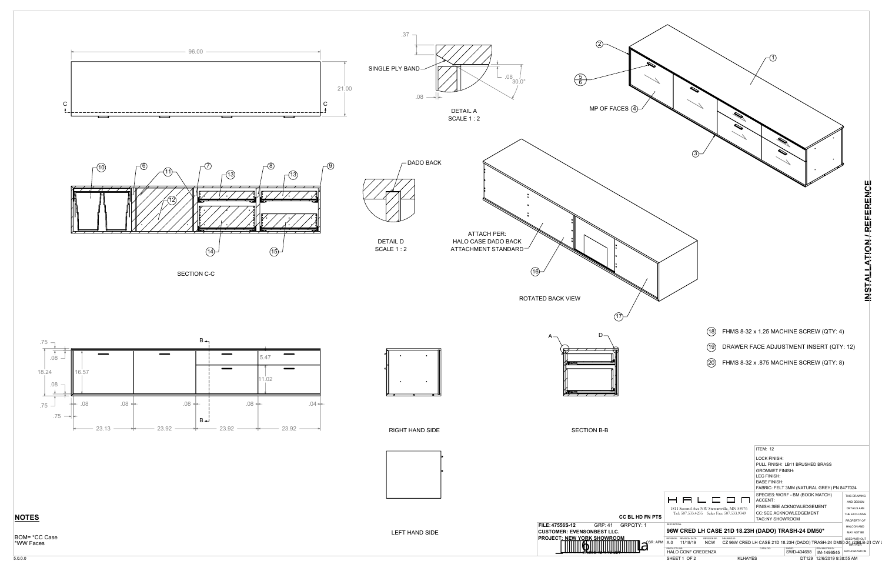



RIGHT HAND SIDE

SECTION B-B



 $A \rightarrow$  D

- 18 FHMS 8-32 x 1.25 MACHINE SCREW (QTY: 4)
- 19 DRAWER FACE ADJUSTMENT INSERT (QTY: 12)
- 20 FHMS 8-32 x .875 MACHINE SCREW (QTY: 8)



#### **NOTES**

BOM= \*CC Case \*WW Faces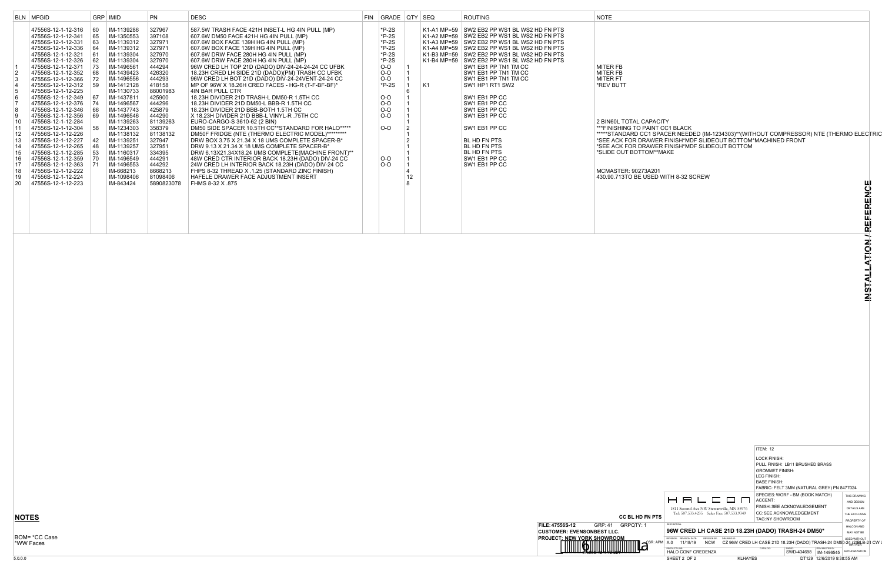

**APACITY** \*\*\*\*\*STANDARD CC1 SPACER NEEDED (IM-1234303)\*\*(WITHOUT COMPRESSOR) NTE (THERMO ELECTRIC \*SEE ACK FOR DRAWER FINISH\*MDF SLIDEOUT BOTTOM\*MACHINED FRONT TAWER FINISH\*MDF SLIDEOUT BOTTOM 'OM\*\*MAKE

**INSTALLATION / REFERENCE**

INSTALLATION / REFERENCE

BOM= \*CC Case \*WW Faces

|                                                                                                                                                    | <b>BLN MFGID</b>                                                                                                                                                                                                                                                                                                                                                                                                                                                                                                                                                                         |                                                                                                                                                                     | GRP   IMID                                                                                                                                                                                                                                                                                                                                                             | <b>PN</b>                                                                                                                                                                                                                                                                     | <b>DESC</b>                                                                                                                                                                                                                                                                                                                                                                                                                                                                                                                                                                                                                                                                                                                                                                                                                                                                                                                                                                                                                                                                                                                                                                                                                   | FIN GRADE QTY SEQ                                                                                                                                                             |                      |    | <b>ROUTING</b>                                                                                                                                                                                                                                                                                                                                                                                                                                                                                                                                                         | <b>NOTE</b>                                                                                                                                                                                                                                                                                                 |
|----------------------------------------------------------------------------------------------------------------------------------------------------|------------------------------------------------------------------------------------------------------------------------------------------------------------------------------------------------------------------------------------------------------------------------------------------------------------------------------------------------------------------------------------------------------------------------------------------------------------------------------------------------------------------------------------------------------------------------------------------|---------------------------------------------------------------------------------------------------------------------------------------------------------------------|------------------------------------------------------------------------------------------------------------------------------------------------------------------------------------------------------------------------------------------------------------------------------------------------------------------------------------------------------------------------|-------------------------------------------------------------------------------------------------------------------------------------------------------------------------------------------------------------------------------------------------------------------------------|-------------------------------------------------------------------------------------------------------------------------------------------------------------------------------------------------------------------------------------------------------------------------------------------------------------------------------------------------------------------------------------------------------------------------------------------------------------------------------------------------------------------------------------------------------------------------------------------------------------------------------------------------------------------------------------------------------------------------------------------------------------------------------------------------------------------------------------------------------------------------------------------------------------------------------------------------------------------------------------------------------------------------------------------------------------------------------------------------------------------------------------------------------------------------------------------------------------------------------|-------------------------------------------------------------------------------------------------------------------------------------------------------------------------------|----------------------|----|------------------------------------------------------------------------------------------------------------------------------------------------------------------------------------------------------------------------------------------------------------------------------------------------------------------------------------------------------------------------------------------------------------------------------------------------------------------------------------------------------------------------------------------------------------------------|-------------------------------------------------------------------------------------------------------------------------------------------------------------------------------------------------------------------------------------------------------------------------------------------------------------|
| 2<br>∣3<br> 4<br>5<br>$\begin{array}{c} 6 \\ 7 \end{array}$<br>8<br>∣9<br>  10<br>$\vert$ 11<br>12<br>13<br>14<br>15<br>16<br>17<br>18<br>19<br>20 | 47556S-12-1-12-316<br>47556S-12-1-12-341<br>47556S-12-1-12-331<br>47556S-12-1-12-336<br>47556S-12-1-12-321<br>47556S-12-1-12-326<br>47556S-12-1-12-371<br>47556S-12-1-12-352<br>47556S-12-1-12-366<br>47556S-12-1-12-312<br>47556S-12-1-12-225<br>47556S-12-1-12-349<br>47556S-12-1-12-376<br>47556S-12-1-12-346<br>47556S-12-1-12-356<br>47556S-12-1-12-284<br>47556S-12-1-12-304<br>47556S-12-1-12-226<br>47556S-12-1-12-227<br>47556S-12-1-12-265<br>47556S-12-1-12-285<br>47556S-12-1-12-359<br>47556S-12-1-12-363<br>47556S-12-1-12-222<br>47556S-12-1-12-224<br>47556S-12-1-12-223 | <b>60</b><br>65<br>63<br>64<br><b>61</b><br>62<br>73<br> 68 <br>$ 72\rangle$<br>59<br> 67 <br> 74 <br>∣66<br>69<br>58<br>$ 42\rangle$<br>  48<br>l 53<br> 70<br> 71 | IM-1139286<br>IM-1350553<br>IM-1139312<br>IM-1139312<br>IM-1139304<br>IM-1139304<br>IM-1496561<br>IM-1439423<br>IM-1496556<br>IM-1412128<br>IM-1130733<br>IM-1437811<br>IM-1496567<br>IM-1437743<br>IM-1496546<br>IM-1139263<br>IM-1234303<br>IM-1138132<br>IM-1139251<br>IM-1139257<br>IM-1160317<br>IM-1496549<br>IM-1496553<br>IM-668213<br>IM-1098406<br>IM-843424 | 327967<br>397108<br>327971<br>327971<br>327970<br>327970<br>444294<br>426320<br>444293<br>418158<br>88001983<br>425900<br>444296<br>425879<br>444290<br>81139263<br>358379<br>81138132<br>327947<br>327951<br>334395<br>444291<br>444292<br>8668213<br>81098406<br>5890823078 | 587.5W TRASH FACE 421H INSET-L HG 4IN PULL (MP)<br>607.6W DM50 FACE 421H HG 4IN PULL (MP)<br>607.6W BOX FACE 139H HG 4IN PULL (MP)<br>607.6W BOX FACE 139H HG 4IN PULL (MP)<br>607.6W DRW FACE 280H HG 4IN PULL (MP)<br>607.6W DRW FACE 280H HG 4IN PULL (MP)<br>96W CRED LH TOP 21D (DADO) DIV-24-24-24-24 CC UFBK<br>18.23H CRED LH SIDE 21D (DADO)(PM) TRASH CC UFBK<br>96W CRED LH BOT 21D (DADO) DIV-24-24VENT-24-24 CC<br>MP OF 96W X 18.26H CRED FACES - HG-R (T-F-BF-BF)*<br>4IN BAR PULL CTR<br>18.23H DIVIDER 21D TRASH-L DM50-R 1.5TH CC<br>18.23H DIVIDER 21D DM50-L BBB-R 1.5TH CC<br>18.23H DIVIDER 21D BBB-BOTH 1.5TH CC<br>X 18.23H DIVIDER 21D BBB-L VINYL-R .75TH CC<br>EURO-CARGO-S 3610-62 (2 BIN)<br>DM50 SIDE SPACER 10.5TH CC**STANDARD FOR HALO*****<br>DM50F FRIDGE (NTE (THERMO ELECTRIC MODEL)*********<br>DRW BOX 3.75 X 21.34 X 18 UMS COMPLETE SPACER-B*<br>DRW 9.13 X 21.34 X 18 UMS COMPLETE SPACER-B*<br>DRW 6.13X21.34X18.24 UMS COMPLETE(MACHINE FRONT)**<br>48W CRED CTR INTERIOR BACK 18.23H (DADO) DIV-24 CC<br>24W CRED LH INTERIOR BACK 18.23H (DADO) DIV-24 CC<br>FHPS 8-32 THREAD X .1.25 (STANDARD ZINC FINISH)<br><b>HAFELE DRAWER FACE ADJUSTMENT INSERT</b><br>FHMS 8-32 X .875 | $*P-2S$<br>$*P-2S$<br>$*P-2S$<br>$*P-2S$<br>$*P-2S$<br>$*P-2S$<br>$O-O$<br>$O-O$<br>$O-O$<br>$*P-2S$<br>$O-O$<br><b>O-O</b><br>$O-O$<br>$O-O$<br>$O-O$<br><b>O-O</b><br>$O-O$ | $\overline{2}$<br>12 | K1 | K1-A1 MP=59 SW2 EB2 PP WS1 BL WS2 HD FN PTS<br>K1-A2 MP=59 SW2 EB2 PP WS1 BL WS2 HD FN PTS<br>K1-A3 MP=59 SW2 EB2 PP WS1 BL WS2 HD FN PTS<br>K1-A4 MP=59 SW2 EB2 PP WS1 BL WS2 HD FN PTS<br>K1-B3 MP=59 SW2 EB2 PP WS1 BL WS2 HD FN PTS<br>K1-B4 MP=59 SW2 EB2 PP WS1 BL WS2 HD FN PTS<br>SW1 EB1 PP TN1 TM CC<br>SW1 EB1 PP TN1 TM CC<br>SW1 EB1 PP TN1 TM CC<br>SW1 HP1 RT1 SW2<br>SW1 EB1 PP CC<br>SW1 EB1 PP CC<br>SW1 EB1 PP CC<br>SW1 EB1 PP CC<br>SW1 EB1 PP CC<br>BL HD FN PTS<br><b>BL HD FN PTS</b><br><b>BL HD FN PTS</b><br>SW1 EB1 PP CC<br>SW1 EB1 PP CC | <b>MITER FB</b><br>MITER FB<br>MITER FT<br>*REV BUTT<br>2 BIN60L TOTAL CAPACITY<br>***FINISHING TO PAINT CC1 BLACK<br>*****STANDARD CC1 SPACER NEED<br>*SEE ACK FOR DRAWER FINISH*MI<br>*SEE ACK FOR DRAWER FINISH*MI<br>*SLIDE OUT BOTTOM**MAKE<br>MCMASTER: 90273A201<br>430.90.713TO BE USED WITH 8-32 S |

430.90.713TO BE USED WITH 8-32 SCREW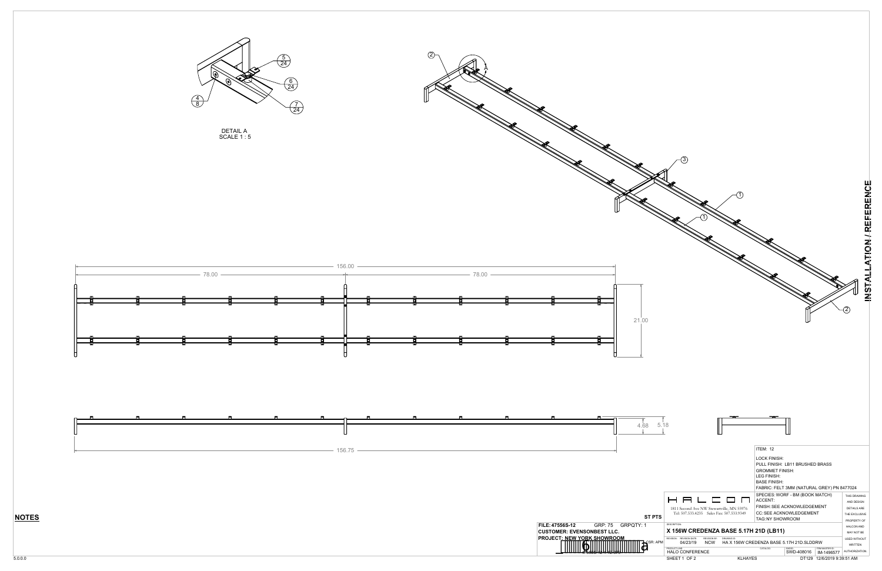





DETAIL A SCALE 1 : 5



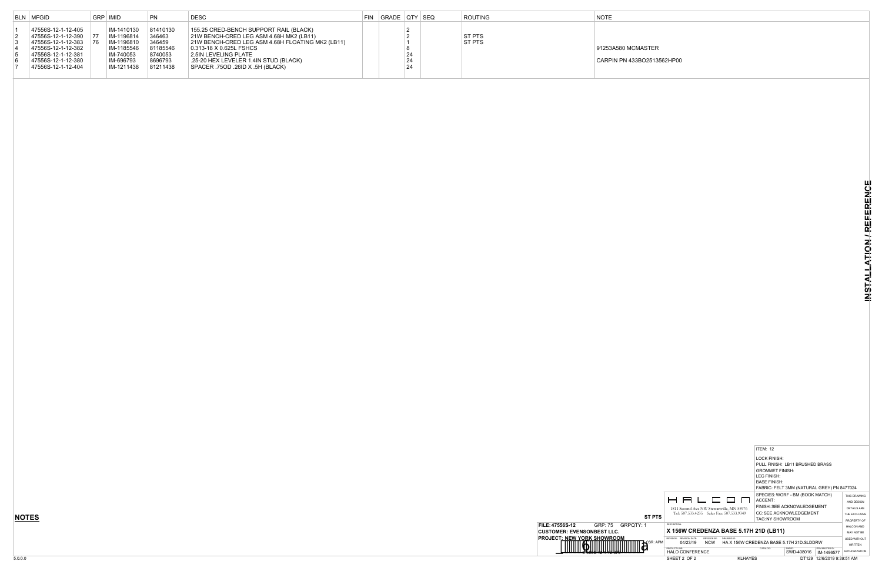|            |                                                                                                                                         | <b>ITEM: 12</b>                                                              |                                                                                                  |                                       |                |  |  |  |  |  |
|------------|-----------------------------------------------------------------------------------------------------------------------------------------|------------------------------------------------------------------------------|--------------------------------------------------------------------------------------------------|---------------------------------------|----------------|--|--|--|--|--|
|            |                                                                                                                                         | LOCK FINISH:<br><b>GROMMET FINISH:</b><br>LEG FINISH:<br><b>BASE FINISH:</b> | PULL FINISH: LB11 BRUSHED BRASS<br>FABRIC: FELT 3MM (NATURAL GREY) PN 8477024                    |                                       |                |  |  |  |  |  |
| ST PTS     | 8 8 6 6 9 0<br>1811 Second Ave NW Stewartville, MN 55976<br>Tel: 507.533.4235 Sales Fax: 507.533.9349                                   | ACCENT:<br>TAG: NY SHOWROOM                                                  | SPECIES: WORF - BM (BOOK MATCH)<br>FINISH: SEE ACKNOWLEDGEMENT<br><b>CC: SEE ACKNOWLEDGEMENT</b> |                                       |                |  |  |  |  |  |
| 1          | <b>DESCRIPTION:</b><br>X 156W CREDENZA BASE 5.17H 21D (LB11)                                                                            |                                                                              |                                                                                                  |                                       |                |  |  |  |  |  |
| . CSR: APM | <b>REVISION DATE:</b><br>REVISION BY:<br>DRAWING ID:<br>REVISION:<br><b>NCW</b><br>HA X 156W CREDENZA BASE 5.17H 21D SLDDRW<br>04/23/19 |                                                                              |                                                                                                  | <b>USED WITHOUT</b><br><b>WRITTEN</b> |                |  |  |  |  |  |
|            | PRODUCT UNF:<br><b>HALO CONFERENCE</b>                                                                                                  | CATALOG:                                                                     | SWDID:<br>SWD-408016                                                                             | ITEM MASTER ID:<br>IM-1496577         | AUTHORIZATION. |  |  |  |  |  |
|            | SHEET 2 OF 2<br><b>KLHAYES</b>                                                                                                          |                                                                              |                                                                                                  | DT129 12/6/2019 9:39:51 AM            |                |  |  |  |  |  |



### TER

2513562HP00

|                | <b>BLN MFGID</b>                         | GRP   IMID             | <b>PN</b>          | <b>DESC</b>                                      | FIN GRADE QTY SEQ |          | <b>ROUTING</b> | <b>NOTE</b>      |
|----------------|------------------------------------------|------------------------|--------------------|--------------------------------------------------|-------------------|----------|----------------|------------------|
|                | 47556S-12-1-12-405                       | IM-1410130             | 81410130           | 155.25 CRED-BENCH SUPPORT RAIL (BLACK)           |                   |          |                |                  |
| 2              | 47556S-12-1-12-390 77                    | IM-1196814             | 346463             | 21W BENCH-CRED LEG ASM 4.68H MK2 (LB11)          |                   |          | ST PTS         |                  |
|                | 47556S-12-1-12-383 76                    | IM-1196810             | 346459             | 21W BENCH-CRED LEG ASM 4.68H FLOATING MK2 (LB11) |                   |          | ST PTS         |                  |
|                | 47556S-12-1-12-382<br>47556S-12-1-12-381 | IM-1185546             | 81185546           | 0.313-18 X 0.625L FSHCS<br>2.5IN LEVELING PLATE  |                   |          |                | 91253A580 MCMAST |
| <sup>∣</sup> 6 | 47556S-12-1-12-380                       | IM-740053<br>IM-696793 | 8740053<br>8696793 | .25-20 HEX LEVELER 1.4IN STUD (BLACK)            |                   | 24<br>24 |                | CARPIN PN 433BO2 |
|                | 47556S-12-1-12-404                       | IM-1211438             | 81211438           | SPACER .75OD .26ID X .5H (BLACK)                 |                   | 24       |                |                  |
|                |                                          |                        |                    |                                                  |                   |          |                |                  |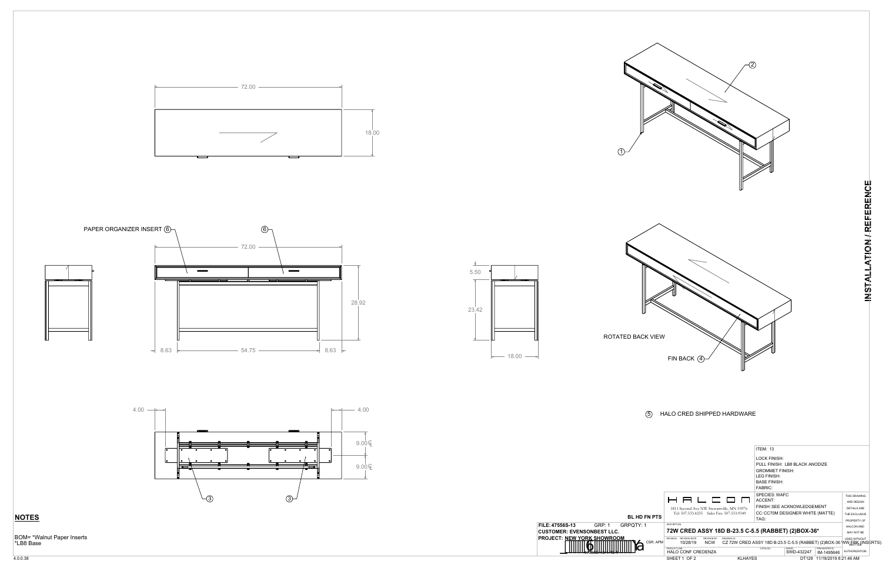











BOM= \*Walnut Paper Inserts \*LB8 Base